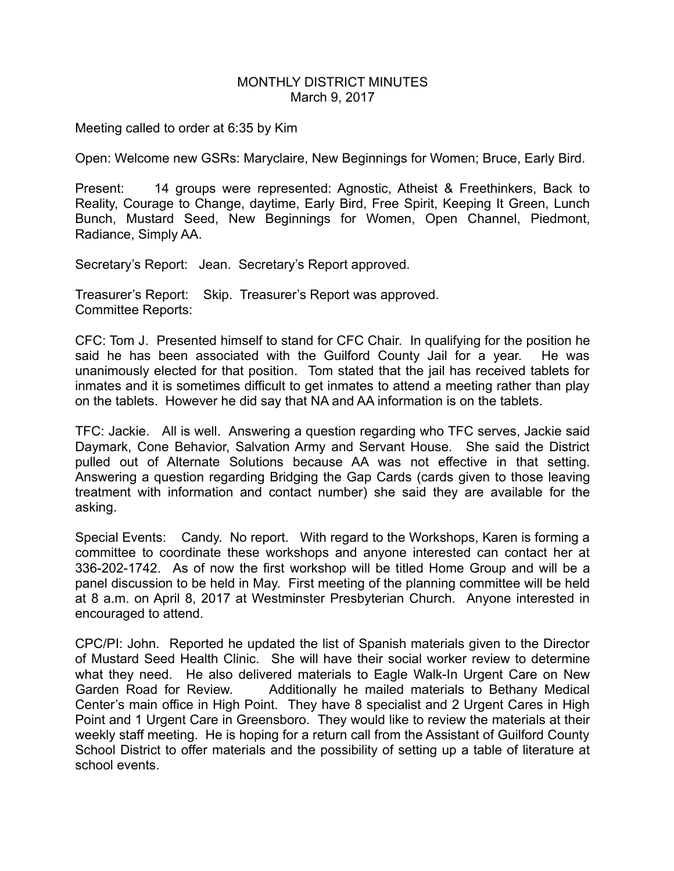## MONTHLY DISTRICT MINUTES March 9, 2017

Meeting called to order at 6:35 by Kim

Open: Welcome new GSRs: Maryclaire, New Beginnings for Women; Bruce, Early Bird.

Present: 14 groups were represented: Agnostic, Atheist & Freethinkers, Back to Reality, Courage to Change, daytime, Early Bird, Free Spirit, Keeping It Green, Lunch Bunch, Mustard Seed, New Beginnings for Women, Open Channel, Piedmont, Radiance, Simply AA.

Secretary's Report: Jean. Secretary's Report approved.

Treasurer's Report: Skip. Treasurer's Report was approved. Committee Reports:

CFC: Tom J. Presented himself to stand for CFC Chair. In qualifying for the position he said he has been associated with the Guilford County Jail for a year. He was unanimously elected for that position. Tom stated that the jail has received tablets for inmates and it is sometimes difficult to get inmates to attend a meeting rather than play on the tablets. However he did say that NA and AA information is on the tablets.

TFC: Jackie. All is well. Answering a question regarding who TFC serves, Jackie said Daymark, Cone Behavior, Salvation Army and Servant House. She said the District pulled out of Alternate Solutions because AA was not effective in that setting. Answering a question regarding Bridging the Gap Cards (cards given to those leaving treatment with information and contact number) she said they are available for the asking.

Special Events: Candy. No report. With regard to the Workshops, Karen is forming a committee to coordinate these workshops and anyone interested can contact her at 336-202-1742. As of now the first workshop will be titled Home Group and will be a panel discussion to be held in May. First meeting of the planning committee will be held at 8 a.m. on April 8, 2017 at Westminster Presbyterian Church. Anyone interested in encouraged to attend.

CPC/PI: John. Reported he updated the list of Spanish materials given to the Director of Mustard Seed Health Clinic. She will have their social worker review to determine what they need. He also delivered materials to Eagle Walk-In Urgent Care on New Garden Road for Review. Additionally he mailed materials to Bethany Medical Center's main office in High Point. They have 8 specialist and 2 Urgent Cares in High Point and 1 Urgent Care in Greensboro. They would like to review the materials at their weekly staff meeting. He is hoping for a return call from the Assistant of Guilford County School District to offer materials and the possibility of setting up a table of literature at school events.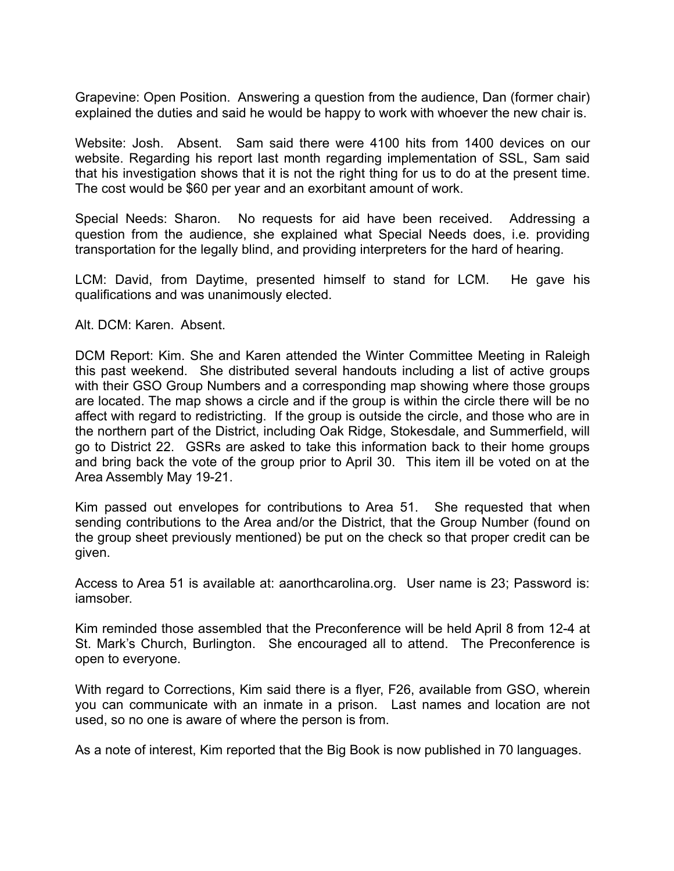Grapevine: Open Position. Answering a question from the audience, Dan (former chair) explained the duties and said he would be happy to work with whoever the new chair is.

Website: Josh. Absent. Sam said there were 4100 hits from 1400 devices on our website. Regarding his report last month regarding implementation of SSL, Sam said that his investigation shows that it is not the right thing for us to do at the present time. The cost would be \$60 per year and an exorbitant amount of work.

Special Needs: Sharon. No requests for aid have been received. Addressing a question from the audience, she explained what Special Needs does, i.e. providing transportation for the legally blind, and providing interpreters for the hard of hearing.

LCM: David, from Daytime, presented himself to stand for LCM. He gave his qualifications and was unanimously elected.

## Alt. DCM: Karen. Absent.

DCM Report: Kim. She and Karen attended the Winter Committee Meeting in Raleigh this past weekend. She distributed several handouts including a list of active groups with their GSO Group Numbers and a corresponding map showing where those groups are located. The map shows a circle and if the group is within the circle there will be no affect with regard to redistricting. If the group is outside the circle, and those who are in the northern part of the District, including Oak Ridge, Stokesdale, and Summerfield, will go to District 22. GSRs are asked to take this information back to their home groups and bring back the vote of the group prior to April 30. This item ill be voted on at the Area Assembly May 19-21.

Kim passed out envelopes for contributions to Area 51. She requested that when sending contributions to the Area and/or the District, that the Group Number (found on the group sheet previously mentioned) be put on the check so that proper credit can be given.

Access to Area 51 is available at: aanorthcarolina.org. User name is 23; Password is: iamsober.

Kim reminded those assembled that the Preconference will be held April 8 from 12-4 at St. Mark's Church, Burlington. She encouraged all to attend. The Preconference is open to everyone.

With regard to Corrections, Kim said there is a flyer, F26, available from GSO, wherein you can communicate with an inmate in a prison. Last names and location are not used, so no one is aware of where the person is from.

As a note of interest, Kim reported that the Big Book is now published in 70 languages.